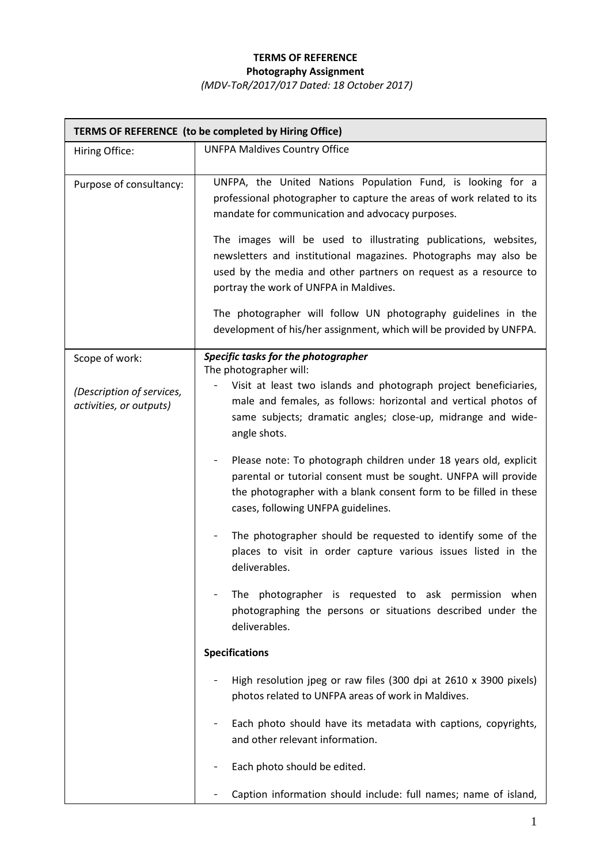## **TERMS OF REFERENCE Photography Assignment**

*(MDV-ToR/2017/017 Dated: 18 October 2017)*

| TERMS OF REFERENCE (to be completed by Hiring Office) |                                                                                                                                                                                                                                                                                                                                                                                                                                                                                                                                                                                       |  |  |  |  |
|-------------------------------------------------------|---------------------------------------------------------------------------------------------------------------------------------------------------------------------------------------------------------------------------------------------------------------------------------------------------------------------------------------------------------------------------------------------------------------------------------------------------------------------------------------------------------------------------------------------------------------------------------------|--|--|--|--|
| Hiring Office:                                        | <b>UNFPA Maldives Country Office</b>                                                                                                                                                                                                                                                                                                                                                                                                                                                                                                                                                  |  |  |  |  |
| Purpose of consultancy:                               | UNFPA, the United Nations Population Fund, is looking for a<br>professional photographer to capture the areas of work related to its<br>mandate for communication and advocacy purposes.<br>The images will be used to illustrating publications, websites,<br>newsletters and institutional magazines. Photographs may also be<br>used by the media and other partners on request as a resource to<br>portray the work of UNFPA in Maldives.<br>The photographer will follow UN photography guidelines in the<br>development of his/her assignment, which will be provided by UNFPA. |  |  |  |  |
| Scope of work:                                        | Specific tasks for the photographer<br>The photographer will:                                                                                                                                                                                                                                                                                                                                                                                                                                                                                                                         |  |  |  |  |
| (Description of services,<br>activities, or outputs)  | Visit at least two islands and photograph project beneficiaries,<br>male and females, as follows: horizontal and vertical photos of<br>same subjects; dramatic angles; close-up, midrange and wide-<br>angle shots.                                                                                                                                                                                                                                                                                                                                                                   |  |  |  |  |
|                                                       | Please note: To photograph children under 18 years old, explicit<br>$\overline{\phantom{a}}$<br>parental or tutorial consent must be sought. UNFPA will provide<br>the photographer with a blank consent form to be filled in these<br>cases, following UNFPA guidelines.                                                                                                                                                                                                                                                                                                             |  |  |  |  |
|                                                       | The photographer should be requested to identify some of the<br>places to visit in order capture various issues listed in the<br>deliverables.                                                                                                                                                                                                                                                                                                                                                                                                                                        |  |  |  |  |
|                                                       | The photographer is requested to ask permission when<br>photographing the persons or situations described under the<br>deliverables.                                                                                                                                                                                                                                                                                                                                                                                                                                                  |  |  |  |  |
|                                                       | <b>Specifications</b>                                                                                                                                                                                                                                                                                                                                                                                                                                                                                                                                                                 |  |  |  |  |
|                                                       | High resolution jpeg or raw files (300 dpi at 2610 x 3900 pixels)<br>photos related to UNFPA areas of work in Maldives.                                                                                                                                                                                                                                                                                                                                                                                                                                                               |  |  |  |  |
|                                                       | Each photo should have its metadata with captions, copyrights,<br>and other relevant information.                                                                                                                                                                                                                                                                                                                                                                                                                                                                                     |  |  |  |  |
|                                                       | Each photo should be edited.                                                                                                                                                                                                                                                                                                                                                                                                                                                                                                                                                          |  |  |  |  |
|                                                       | Caption information should include: full names; name of island,                                                                                                                                                                                                                                                                                                                                                                                                                                                                                                                       |  |  |  |  |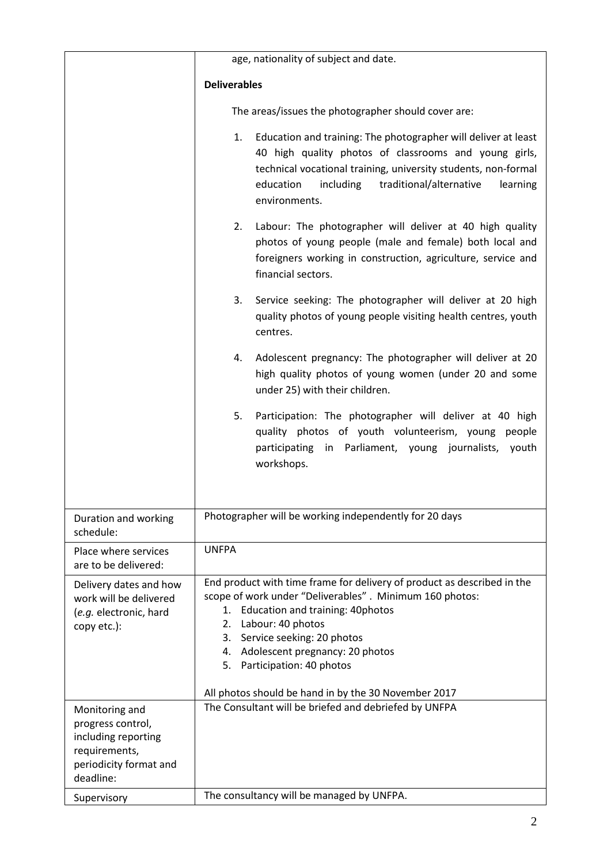|                                                                                                                    | age, nationality of subject and date.                                                                                                                                                                                                                                                                         |  |  |  |  |
|--------------------------------------------------------------------------------------------------------------------|---------------------------------------------------------------------------------------------------------------------------------------------------------------------------------------------------------------------------------------------------------------------------------------------------------------|--|--|--|--|
|                                                                                                                    | <b>Deliverables</b>                                                                                                                                                                                                                                                                                           |  |  |  |  |
|                                                                                                                    |                                                                                                                                                                                                                                                                                                               |  |  |  |  |
|                                                                                                                    | The areas/issues the photographer should cover are:                                                                                                                                                                                                                                                           |  |  |  |  |
|                                                                                                                    | Education and training: The photographer will deliver at least<br>1.<br>40 high quality photos of classrooms and young girls,<br>technical vocational training, university students, non-formal<br>traditional/alternative<br>education<br>including<br>learning<br>environments.                             |  |  |  |  |
|                                                                                                                    | 2.<br>Labour: The photographer will deliver at 40 high quality<br>photos of young people (male and female) both local and<br>foreigners working in construction, agriculture, service and<br>financial sectors.                                                                                               |  |  |  |  |
|                                                                                                                    | 3.<br>Service seeking: The photographer will deliver at 20 high<br>quality photos of young people visiting health centres, youth<br>centres.                                                                                                                                                                  |  |  |  |  |
|                                                                                                                    | Adolescent pregnancy: The photographer will deliver at 20<br>4.<br>high quality photos of young women (under 20 and some<br>under 25) with their children.                                                                                                                                                    |  |  |  |  |
|                                                                                                                    | Participation: The photographer will deliver at 40 high<br>5.<br>quality photos of youth volunteerism, young<br>people<br>participating in Parliament, young journalists, youth<br>workshops.                                                                                                                 |  |  |  |  |
| Duration and working<br>schedule:                                                                                  | Photographer will be working independently for 20 days                                                                                                                                                                                                                                                        |  |  |  |  |
| Place where services<br>are to be delivered:                                                                       | <b>UNFPA</b>                                                                                                                                                                                                                                                                                                  |  |  |  |  |
| Delivery dates and how<br>work will be delivered<br>(e.g. electronic, hard<br>copy etc.):                          | End product with time frame for delivery of product as described in the<br>scope of work under "Deliverables". Minimum 160 photos:<br>Education and training: 40photos<br>1.<br>Labour: 40 photos<br>2.<br>3. Service seeking: 20 photos<br>4. Adolescent pregnancy: 20 photos<br>5. Participation: 40 photos |  |  |  |  |
|                                                                                                                    | All photos should be hand in by the 30 November 2017                                                                                                                                                                                                                                                          |  |  |  |  |
| Monitoring and<br>progress control,<br>including reporting<br>requirements,<br>periodicity format and<br>deadline: | The Consultant will be briefed and debriefed by UNFPA                                                                                                                                                                                                                                                         |  |  |  |  |
| Supervisory                                                                                                        | The consultancy will be managed by UNFPA.                                                                                                                                                                                                                                                                     |  |  |  |  |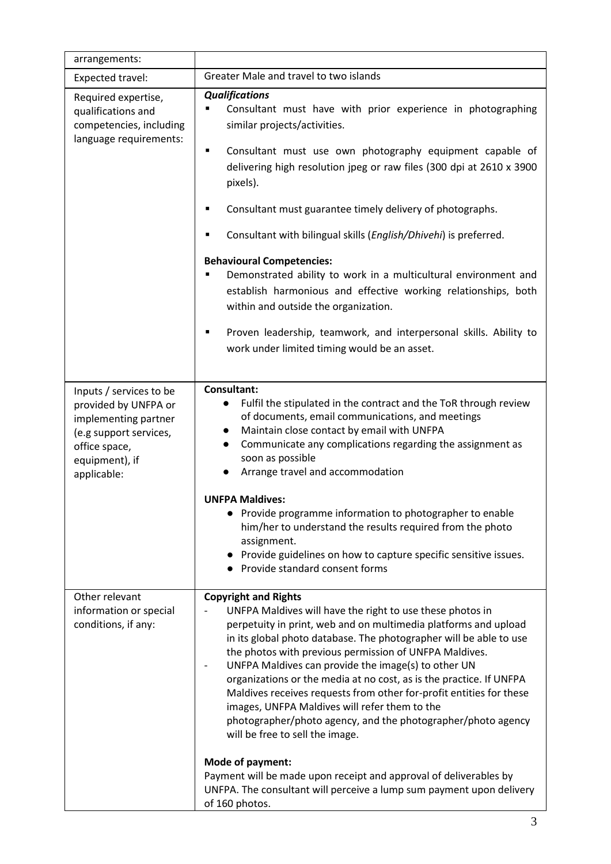| arrangements:                                                                                                                                       |                                                                                                                                                                                                                                                                                                                                                                                                                                                                                                                                                                                                                                                                                                                                                                                                                                         |  |  |  |
|-----------------------------------------------------------------------------------------------------------------------------------------------------|-----------------------------------------------------------------------------------------------------------------------------------------------------------------------------------------------------------------------------------------------------------------------------------------------------------------------------------------------------------------------------------------------------------------------------------------------------------------------------------------------------------------------------------------------------------------------------------------------------------------------------------------------------------------------------------------------------------------------------------------------------------------------------------------------------------------------------------------|--|--|--|
| Expected travel:                                                                                                                                    | Greater Male and travel to two islands                                                                                                                                                                                                                                                                                                                                                                                                                                                                                                                                                                                                                                                                                                                                                                                                  |  |  |  |
| Required expertise,<br>qualifications and<br>competencies, including<br>language requirements:                                                      | <b>Qualifications</b><br>Consultant must have with prior experience in photographing<br>٠<br>similar projects/activities.<br>Consultant must use own photography equipment capable of<br>٠<br>delivering high resolution jpeg or raw files (300 dpi at 2610 x 3900<br>pixels).<br>Consultant must guarantee timely delivery of photographs.<br>Consultant with bilingual skills (English/Dhivehi) is preferred.<br><b>Behavioural Competencies:</b><br>Demonstrated ability to work in a multicultural environment and<br>establish harmonious and effective working relationships, both<br>within and outside the organization.<br>Proven leadership, teamwork, and interpersonal skills. Ability to<br>٠<br>work under limited timing would be an asset.                                                                              |  |  |  |
| Inputs / services to be<br>provided by UNFPA or<br>implementing partner<br>(e.g support services,<br>office space,<br>equipment), if<br>applicable: | <b>Consultant:</b><br>Fulfil the stipulated in the contract and the ToR through review<br>$\bullet$<br>of documents, email communications, and meetings<br>Maintain close contact by email with UNFPA<br>$\bullet$<br>Communicate any complications regarding the assignment as<br>$\bullet$<br>soon as possible<br>Arrange travel and accommodation<br>$\bullet$<br><b>UNFPA Maldives:</b><br>Provide programme information to photographer to enable<br>him/her to understand the results required from the photo<br>assignment.<br>Provide guidelines on how to capture specific sensitive issues.<br>Provide standard consent forms                                                                                                                                                                                                 |  |  |  |
| Other relevant<br>information or special<br>conditions, if any:                                                                                     | <b>Copyright and Rights</b><br>UNFPA Maldives will have the right to use these photos in<br>perpetuity in print, web and on multimedia platforms and upload<br>in its global photo database. The photographer will be able to use<br>the photos with previous permission of UNFPA Maldives.<br>UNFPA Maldives can provide the image(s) to other UN<br>organizations or the media at no cost, as is the practice. If UNFPA<br>Maldives receives requests from other for-profit entities for these<br>images, UNFPA Maldives will refer them to the<br>photographer/photo agency, and the photographer/photo agency<br>will be free to sell the image.<br>Mode of payment:<br>Payment will be made upon receipt and approval of deliverables by<br>UNFPA. The consultant will perceive a lump sum payment upon delivery<br>of 160 photos. |  |  |  |